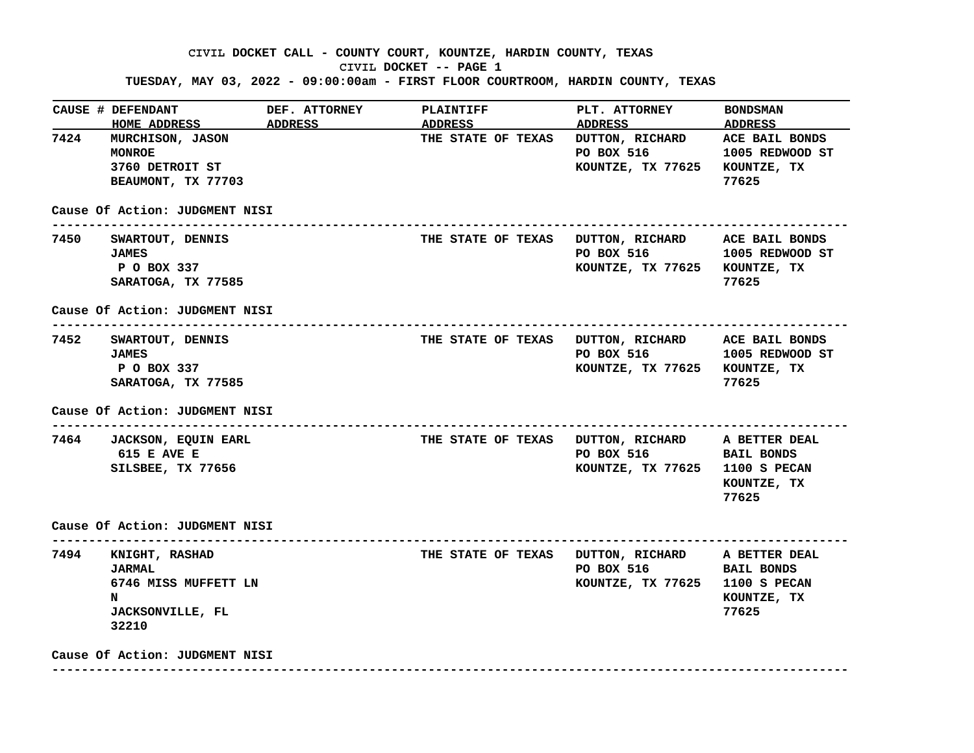## **CIVIL DOCKET CALL - COUNTY COURT, KOUNTZE, HARDIN COUNTY, TEXAS CIVIL DOCKET -- PAGE 1 TUESDAY, MAY 03, 2022 - 09:00:00am - FIRST FLOOR COURTROOM, HARDIN COUNTY, TEXAS**

|      | CAUSE # DEFENDANT<br>HOME ADDRESS ADDRESS                                                                                                     | <b>DEF. ATTORNEY</b> | <b>PLAINTIFF</b><br>ADDRESS | PLT. ATTORNEY<br><b>ADDRESS</b>                                                                                                    | <b>BONDSMAN</b><br>ADDRESS                  |
|------|-----------------------------------------------------------------------------------------------------------------------------------------------|----------------------|-----------------------------|------------------------------------------------------------------------------------------------------------------------------------|---------------------------------------------|
| 7424 | MURCHISON, JASON<br><b>MONROE</b><br>3760 DETROIT ST<br>BEAUMONT, TX 77703                                                                    |                      | THE STATE OF TEXAS          | DUTTON, RICHARD ACE BAIL BONDS<br>PO BOX 516<br>KOUNTZE, TX 77625                                                                  | 1005 REDWOOD ST<br>KOUNTZE, TX<br>77625     |
|      | Cause Of Action: JUDGMENT NISI                                                                                                                |                      |                             |                                                                                                                                    |                                             |
|      | 7450 SWARTOUT, DENNIS<br><b>JAMES</b><br>P O BOX 337<br>SARATOGA, TX 77585                                                                    |                      |                             | THE STATE OF TEXAS DUTTON, RICHARD ACE BAIL BONDS<br>PO BOX 516 1005 REDWOOD ST<br>KOUNTZE, TX 77625 KOUNTZE, TX                   | 77625                                       |
|      | Cause Of Action: JUDGMENT NISI                                                                                                                |                      |                             |                                                                                                                                    |                                             |
| 7452 | ----------------------------------<br>SWARTOUT, DENNIS<br><b>JAMES</b><br>P O BOX 337<br>SARATOGA, TX 77585<br>Cause Of Action: JUDGMENT NISI |                      |                             | THE STATE OF TEXAS DUTTON, RICHARD ACE BAIL BONDS<br>PO BOX 516<br>KOUNTZE, TX 77625 KOUNTZE, TX                                   | 1005 REDWOOD ST<br>77625                    |
|      | 7464 JACKSON, EQUIN EARL<br><b>615 E AVE E</b><br>SILSBEE, TX 77656                                                                           |                      |                             | THE STATE OF TEXAS DUTTON, RICHARD A BETTER DEAL<br>PO BOX 516 BAIL BONDS<br>KOUNTZE, TX 77625                                     | <b>1100 S PECAN</b><br>KOUNTZE, TX<br>77625 |
|      | Cause Of Action: JUDGMENT NISI                                                                                                                |                      |                             |                                                                                                                                    |                                             |
| 7494 | KNIGHT, RASHAD<br><b>JARMAL</b><br>6746 MISS MUFFETT LN<br>N<br><b>JACKSONVILLE, FL</b><br>32210                                              |                      |                             | ------------------------------<br>THE STATE OF TEXAS DUTTON, RICHARD A BETTER DEAL<br>PO BOX 516<br>KOUNTZE, TX 77625 1100 S PECAN | <b>BAIL BONDS</b><br>KOUNTZE, TX<br>77625   |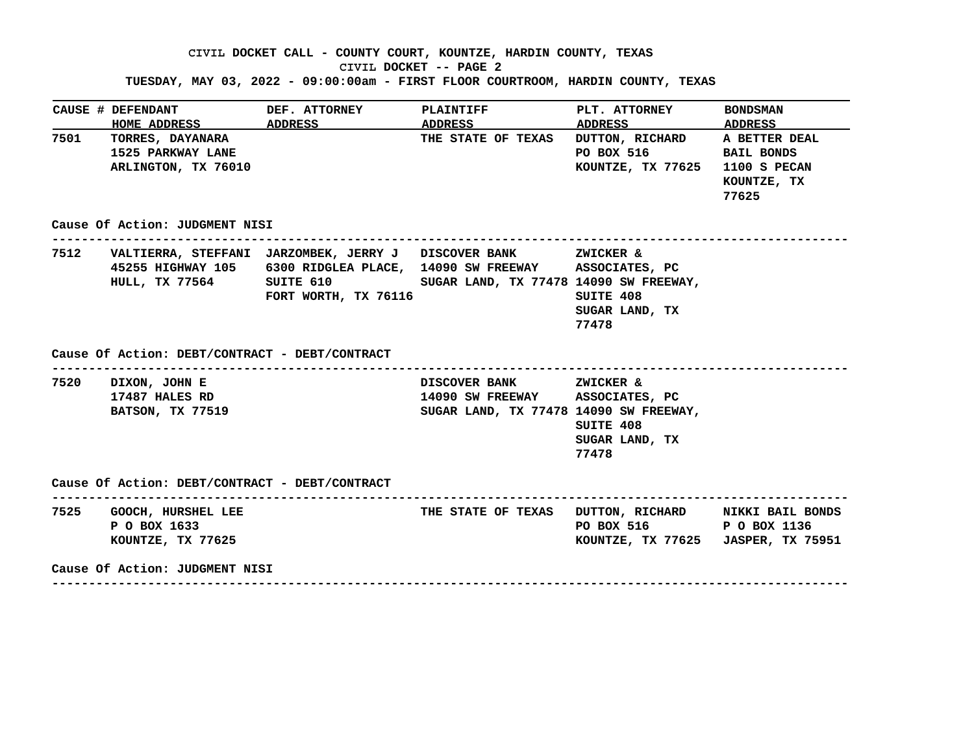# **CIVIL DOCKET CALL - COUNTY COURT, KOUNTZE, HARDIN COUNTY, TEXAS CIVIL DOCKET -- PAGE 2**

### **TUESDAY, MAY 03, 2022 - 09:00:00am - FIRST FLOOR COURTROOM, HARDIN COUNTY, TEXAS**

|      | CAUSE # DEFENDANT<br>HOME ADDRESS ADDRESS                       | <b>DEF. ATTORNEY</b><br><b>ADDRESS</b>                                                                                                                                                                                                  | <b>PLAINTIFF</b>                                                                                     | PLT. ATTORNEY<br>ADDRESS ADDRESS                                            | <b>BONDSMAN</b>                             |
|------|-----------------------------------------------------------------|-----------------------------------------------------------------------------------------------------------------------------------------------------------------------------------------------------------------------------------------|------------------------------------------------------------------------------------------------------|-----------------------------------------------------------------------------|---------------------------------------------|
| 7501 | TORRES, DAYANARA<br>1525 PARKWAY LANE<br>ARLINGTON, TX 76010    |                                                                                                                                                                                                                                         | THE STATE OF TEXAS                                                                                   | DUTTON, RICHARD A BETTER DEAL<br>PO BOX 516 BAIL BONDS<br>KOUNTZE, TX 77625 | <b>1100 S PECAN</b><br>KOUNTZE, TX<br>77625 |
|      | Cause Of Action: JUDGMENT NISI                                  |                                                                                                                                                                                                                                         |                                                                                                      |                                                                             |                                             |
|      |                                                                 | 7512 VALTIERRA, STEFFANI JARZOMBEK, JERRY J DISCOVER BANK 2WICKER &<br>45255 HIGHWAY 105 6300 RIDGLEA PLACE, 14090 SW FREEWAY ASSOCIATES, PC<br>HULL, TX 77564 SUITE 610 SUGAR LAND, TX 77478 14090 SW FREEWAY,<br>FORT WORTH, TX 76116 |                                                                                                      | SUITE 408<br>SUGAR LAND, TX<br>77478                                        |                                             |
|      |                                                                 |                                                                                                                                                                                                                                         |                                                                                                      |                                                                             |                                             |
|      | Cause Of Action: DEBT/CONTRACT - DEBT/CONTRACT                  |                                                                                                                                                                                                                                         |                                                                                                      |                                                                             |                                             |
|      | 7520 DIXON, JOHN E<br>17487 HALES RD<br><b>BATSON, TX 77519</b> |                                                                                                                                                                                                                                         | DISCOVER BANK ZWICKER &<br>14090 SW FREEWAY ASSOCIATES, PC<br>SUGAR LAND, TX 77478 14090 SW FREEWAY, | SUITE 408<br>SUGAR LAND, TX<br>77478                                        |                                             |
|      | Cause Of Action: DEBT/CONTRACT - DEBT/CONTRACT                  |                                                                                                                                                                                                                                         |                                                                                                      |                                                                             |                                             |
|      | 7525 GOOCH, HURSHEL LEE<br>P O BOX 1633<br>KOUNTZE, TX 77625    |                                                                                                                                                                                                                                         | THE STATE OF TEXAS DUTTON, RICHARD NIKKI BAIL BONDS                                                  | PO BOX 516 P O BOX 1136<br>KOUNTZE, TX 77625 JASPER, TX 75951               |                                             |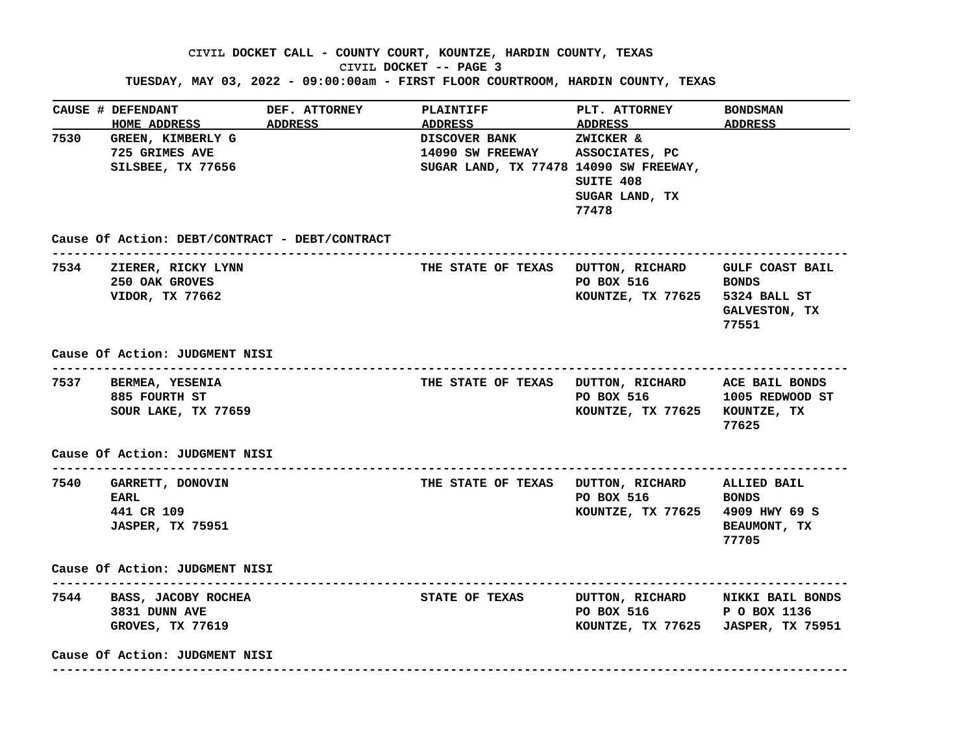### **CIVIL DOCKET CALL - COUNTY COURT, KOUNTZE, HARDIN COUNTY, TEXAS CIVIL DOCKET -- PAGE 3**

**TUESDAY, MAY 03, 2022 - 09:00:00am - FIRST FLOOR COURTROOM, HARDIN COUNTY, TEXAS**

|      | CAUSE # DEFENDANT<br><b>HOME ADDRESS</b>                               | DEF. ATTORNEY<br>ADDRESS | <b>PLAINTIFF</b><br><b>ADDRESS</b>                                                 | <b>PLT. ATTORNEY</b><br>ADDRESS ADDRESS                                                           | <b>BONDSMAN</b>                                    |
|------|------------------------------------------------------------------------|--------------------------|------------------------------------------------------------------------------------|---------------------------------------------------------------------------------------------------|----------------------------------------------------|
| 7530 | GREEN, KIMBERLY G<br>725 GRIMES AVE<br>SILSBEE, TX 77656               |                          | <b>DISCOVER BANK</b><br>14090 SW FREEWAY<br>SUGAR LAND, TX 77478 14090 SW FREEWAY, | ZWICKER &<br>ASSOCIATES, PC<br>SUITE 408<br>SUGAR LAND, TX<br>77478                               |                                                    |
|      | Cause Of Action: DEBT/CONTRACT - DEBT/CONTRACT                         |                          |                                                                                    | --------------------------------------                                                            |                                                    |
|      | 7534 ZIERER, RICKY LYNN<br>250 OAK GROVES<br>VIDOR, TX 77662           |                          | THE STATE OF TEXAS DUTTON, RICHARD GULF COAST BAIL                                 | PO BOX 516<br>KOUNTZE, TX 77625 5324 BALL ST                                                      | <b>EXECUTE: EXECUTE:</b><br>GALVESTON, TX<br>77551 |
|      | Cause Of Action: JUDGMENT NISI                                         |                          |                                                                                    |                                                                                                   |                                                    |
|      | 7537 BERMEA, YESENIA<br>885 FOURTH ST<br>SOUR LAKE, TX 77659           |                          | THE STATE OF TEXAS DUTTON, RICHARD ACE BAIL BONDS                                  | PO BOX 516 1005 REDWOOD ST<br>KOUNTZE, TX 77625 KOUNTZE, TX                                       | 77625                                              |
|      | Cause Of Action: JUDGMENT NISI                                         |                          |                                                                                    |                                                                                                   |                                                    |
|      | 7540 GARRETT, DONOVIN<br>EARL<br>441 CR 109<br><b>JASPER, TX 75951</b> |                          | THE STATE OF TEXAS DUTTON, RICHARD ALLIED BAIL                                     | PO BOX 516<br>KOUNTZE, TX 77625 4909 HWY 69 S                                                     | <b>BONDS</b><br><b>BEAUMONT, TX</b><br>77705       |
|      | Cause Of Action: JUDGMENT NISI                                         |                          |                                                                                    |                                                                                                   |                                                    |
|      | 7544 BASS, JACOBY ROCHEA<br>3831 DUNN AVE<br>GROVES, TX 77619          |                          | <b>STATE OF TEXAS</b>                                                              | DUTTON, RICHARD NIKKI BAIL BONDS<br>PO BOX 516 P O BOX 1136<br>KOUNTZE, TX 77625 JASPER, TX 75951 |                                                    |
|      | Cause Of Action: JUDGMENT NISI                                         |                          |                                                                                    |                                                                                                   |                                                    |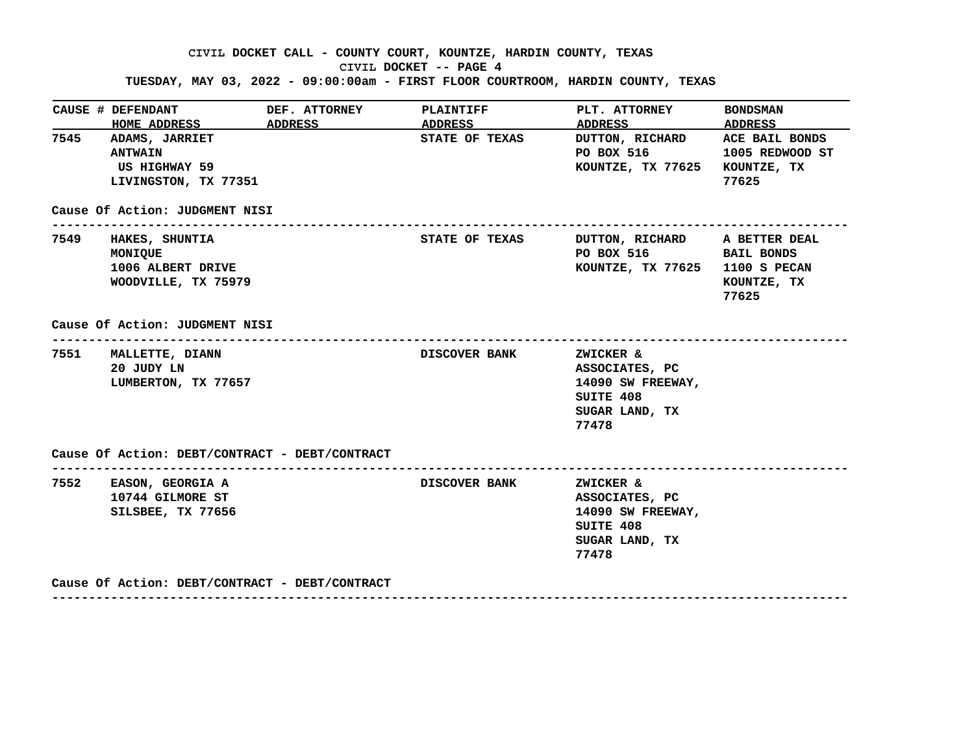## **CIVIL DOCKET CALL - COUNTY COURT, KOUNTZE, HARDIN COUNTY, TEXAS CIVIL DOCKET -- PAGE 4 TUESDAY, MAY 03, 2022 - 09:00:00am - FIRST FLOOR COURTROOM, HARDIN COUNTY, TEXAS**

|      | <b>CAUSE # DEFENDANT</b>                                                                                      | DEF. ATTORNEY                  | <b>PLAINTIFF</b>                 | PLT. ATTORNEY                                                                            | <b>BONDSMAN</b>                            |
|------|---------------------------------------------------------------------------------------------------------------|--------------------------------|----------------------------------|------------------------------------------------------------------------------------------|--------------------------------------------|
|      | HOME ADDRESS ADDRESS<br>7545 ADAMS, JARRIET<br><b>ANTWAIN</b><br><b>US HIGHWAY 59</b><br>LIVINGSTON, TX 77351 |                                | ADDRESS<br><b>STATE OF TEXAS</b> | ADDRESS ADDRESS<br>DUTTON, RICHARD<br>PO BOX 516<br>KOUNTZE, TX 77625 KOUNTZE, TX        | ACE BAIL BONDS<br>1005 REDWOOD ST<br>77625 |
|      | Cause Of Action: JUDGMENT NISI                                                                                |                                |                                  |                                                                                          |                                            |
| 7549 | HAKES, SHUNTIA<br>MONIQUE<br>1006 ALBERT DRIVE<br>WOODVILLE, TX 75979                                         |                                | STATE OF TEXAS                   | DUTTON, RICHARD A BETTER DEAL<br>PO BOX 516 BAIL BONDS<br>KOUNTZE, TX 77625 1100 S PECAN | KOUNTZE, TX<br>77625                       |
|      |                                                                                                               |                                |                                  |                                                                                          |                                            |
|      | Cause Of Action: JUDGMENT NISI                                                                                |                                |                                  |                                                                                          |                                            |
|      | 7551 MALLETTE, DIANN<br>20 JUDY LN<br>LUMBERTON, TX 77657                                                     | ------------------------------ | <b>DISCOVER BANK</b>             | ZWICKER &<br>ASSOCIATES, PC<br>14090 SW FREEWAY,<br>SUITE 408<br>SUGAR LAND, TX<br>77478 |                                            |
|      | Cause Of Action: DEBT/CONTRACT - DEBT/CONTRACT                                                                |                                |                                  |                                                                                          |                                            |

 **Cause Of Action: DEBT/CONTRACT - DEBT/CONTRACT**

 **------------------------------------------------------------------------------------------------------------**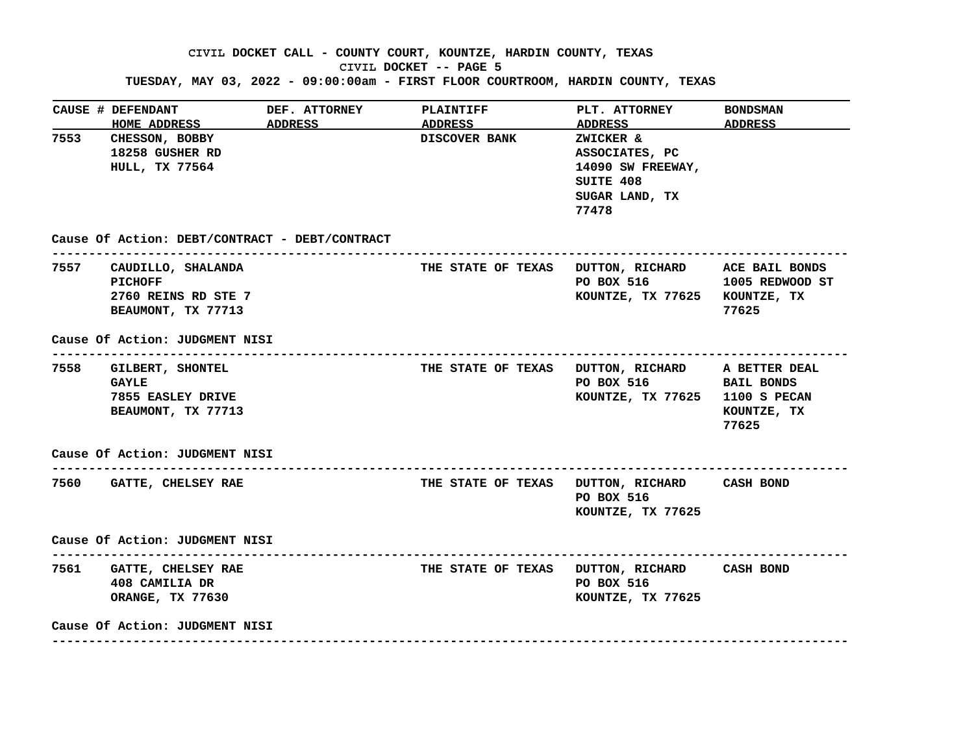### **CIVIL DOCKET CALL - COUNTY COURT, KOUNTZE, HARDIN COUNTY, TEXAS CIVIL DOCKET -- PAGE 5**

**TUESDAY, MAY 03, 2022 - 09:00:00am - FIRST FLOOR COURTROOM, HARDIN COUNTY, TEXAS**

|      | CAUSE # DEFENDANT<br><b>HOME ADDRESS</b>                                                                                 | <b>DEF. ATTORNEY</b><br><b>ADDRESS</b>         | <b>PLAINTIFF</b><br>ADDRESS | <b>PLT. ATTORNEY</b><br>ADDRESS ADDRESS                                                          | <b>BONDSMAN</b>                           |
|------|--------------------------------------------------------------------------------------------------------------------------|------------------------------------------------|-----------------------------|--------------------------------------------------------------------------------------------------|-------------------------------------------|
| 7553 | CHESSON, BOBBY<br>18258 GUSHER RD<br><b>HULL, TX 77564</b>                                                               |                                                | <b>DISCOVER BANK</b>        | ZWICKER &<br>ASSOCIATES, PC<br>14090 SW FREEWAY,<br>SUITE 408<br>SUGAR LAND, TX<br>77478         |                                           |
|      | --------------------------                                                                                               | Cause Of Action: DEBT/CONTRACT - DEBT/CONTRACT |                             |                                                                                                  |                                           |
|      | 7557 CAUDILLO, SHALANDA<br><b>PICHOFF</b><br>2760 REINS RD STE 7<br>BEAUMONT, TX 77713<br>Cause Of Action: JUDGMENT NISI |                                                |                             | THE STATE OF TEXAS DUTTON, RICHARD ACE BAIL BONDS<br>PO BOX 516<br>KOUNTZE, TX 77625 KOUNTZE, TX | 1005 REDWOOD ST<br>77625                  |
|      | 7558 GILBERT, SHONTEL<br><b>GAYLE</b><br>7855 EASLEY DRIVE<br>BEAUMONT, TX 77713                                         |                                                |                             | THE STATE OF TEXAS DUTTON, RICHARD A BETTER DEAL<br>PO BOX 516<br>KOUNTZE, TX 77625 1100 S PECAN | <b>BAIL BONDS</b><br>KOUNTZE, TX<br>77625 |
|      | Cause Of Action: JUDGMENT NISI                                                                                           | ---------------------------                    |                             |                                                                                                  |                                           |
|      | 7560 GATTE, CHELSEY RAE                                                                                                  |                                                |                             | THE STATE OF TEXAS DUTTON, RICHARD CASH BOND<br>PO BOX 516<br>KOUNTZE, TX 77625                  |                                           |
|      | Cause Of Action: JUDGMENT NISI                                                                                           |                                                |                             |                                                                                                  |                                           |
|      | 7561 GATTE, CHELSEY RAE<br>408 CAMILIA DR<br>ORANGE, TX 77630                                                            |                                                |                             | THE STATE OF TEXAS DUTTON, RICHARD CASH BOND<br>PO BOX 516<br>KOUNTZE, TX 77625                  |                                           |
|      |                                                                                                                          |                                                |                             |                                                                                                  |                                           |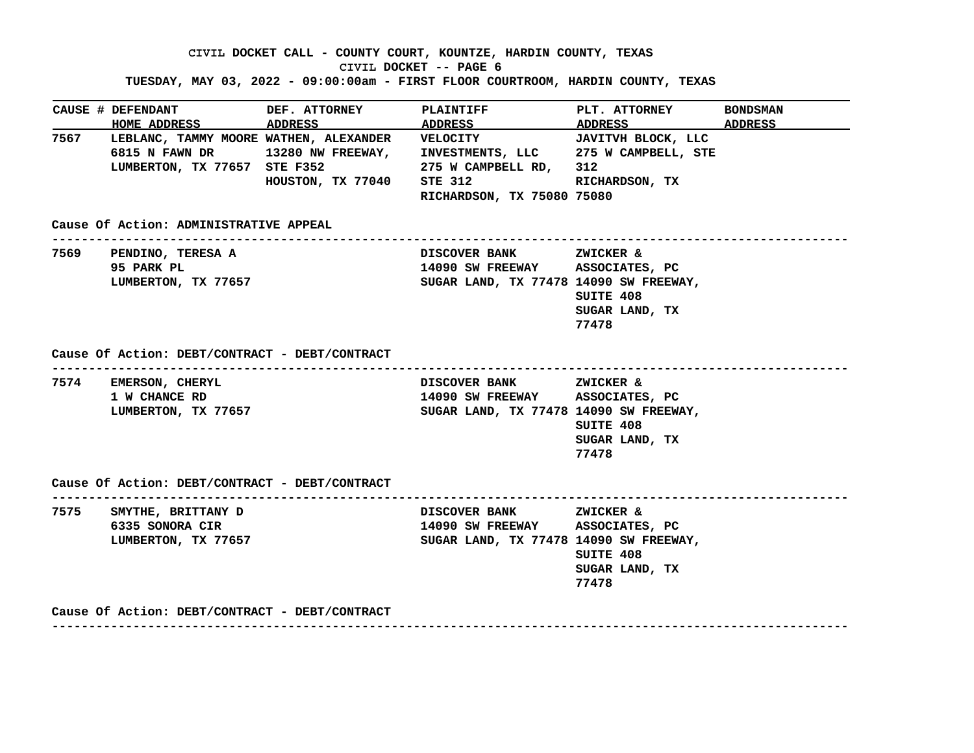**CIVIL DOCKET CALL - COUNTY COURT, KOUNTZE, HARDIN COUNTY, TEXAS CIVIL DOCKET -- PAGE 6 TUESDAY, MAY 03, 2022 - 09:00:00am - FIRST FLOOR COURTROOM, HARDIN COUNTY, TEXAS**

|      | CAUSE # DEFENDANT                              | DEF. ATTORNEY     | <b>PLAINTIFF</b>                                                          | PLT. ATTORNEY                        | BONDSMAN |
|------|------------------------------------------------|-------------------|---------------------------------------------------------------------------|--------------------------------------|----------|
|      | <b>HOME ADDRESS</b>                            | ADDRESS           | ADDRESS                                                                   | ADDRESS                              | ADDRESS  |
|      | 7567 LEBLANC, TAMMY MOORE WATHEN, ALEXANDER    |                   | <b>VELOCITY</b>                                                           | JAVITVH BLOCK, LLC                   |          |
|      | <b>6815 N FAWN DR</b>                          | 13280 NW FREEWAY, | INVESTMENTS, LLC 275 W CAMPBELL, STE                                      |                                      |          |
|      | LUMBERTON, TX 77657 STE F352                   |                   | 275 W CAMPBELL RD,                                                        | 312                                  |          |
|      |                                                | HOUSTON, TX 77040 | <b>STE 312</b>                                                            | RICHARDSON, TX                       |          |
|      |                                                |                   | RICHARDSON, TX 75080 75080                                                |                                      |          |
|      | Cause Of Action: ADMINISTRATIVE APPEAL         |                   |                                                                           |                                      |          |
|      | 7569 PENDINO, TERESA A                         |                   | <b>DISCOVER BANK</b>                                                      | <b>ZWICKER &amp;</b>                 |          |
|      | 95 PARK PL                                     |                   | 14090 SW FREEWAY ASSOCIATES, PC                                           |                                      |          |
|      | LUMBERTON, TX 77657                            |                   | SUGAR LAND, TX 77478 14090 SW FREEWAY,                                    |                                      |          |
|      |                                                |                   |                                                                           | SUITE 408                            |          |
|      |                                                |                   |                                                                           | SUGAR LAND, TX                       |          |
|      |                                                |                   |                                                                           | 77478                                |          |
|      | 1 W CHANCE RD<br>LUMBERTON, TX 77657           |                   | 14090 SW FREEWAY ASSOCIATES, PC<br>SUGAR LAND, TX 77478 14090 SW FREEWAY, | SUITE 408<br>SUGAR LAND, TX<br>77478 |          |
|      | Cause Of Action: DEBT/CONTRACT - DEBT/CONTRACT |                   |                                                                           |                                      |          |
| 7575 | SMYTHE, BRITTANY D                             |                   | <b>DISCOVER BANK</b>                                                      | ZWICKER &                            |          |
|      | 6335 SONORA CIR                                |                   | 14090 SW FREEWAY ASSOCIATES, PC                                           |                                      |          |
|      | LUMBERTON, TX 77657                            |                   | SUGAR LAND, TX 77478 14090 SW FREEWAY,                                    |                                      |          |
|      |                                                |                   |                                                                           | SUITE 408                            |          |
|      |                                                |                   |                                                                           | SUGAR LAND, TX                       |          |
|      |                                                |                   |                                                                           | 77478                                |          |
|      | Cause Of Action: DEBT/CONTRACT - DEBT/CONTRACT |                   |                                                                           |                                      |          |
|      |                                                |                   |                                                                           |                                      |          |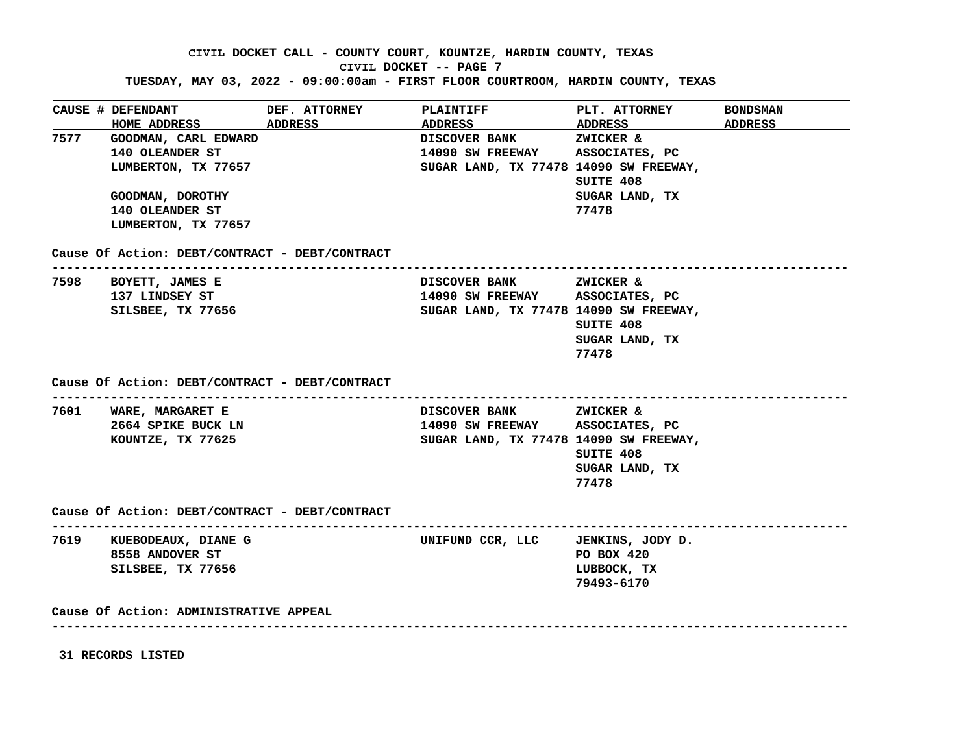**CIVIL DOCKET CALL - COUNTY COURT, KOUNTZE, HARDIN COUNTY, TEXAS**

**CIVIL DOCKET -- PAGE 7**

**TUESDAY, MAY 03, 2022 - 09:00:00am - FIRST FLOOR COURTROOM, HARDIN COUNTY, TEXAS**

| <b>CAUSE # DEFENDANT</b><br>HOME ADDRESS ADDRESS | DEF. ATTORNEY | <b>PLAINTIFF</b><br>ADDRESS ADDRESS ADDRESS ADDRESS | <b>PLT. ATTORNEY</b>      | <b>BONDSMAN</b> |
|--------------------------------------------------|---------------|-----------------------------------------------------|---------------------------|-----------------|
| 7577 GOODMAN, CARL EDWARD                        |               | DISCOVER BANK ZWICKER &                             |                           |                 |
| 140 OLEANDER ST                                  |               | 14090 SW FREEWAY ASSOCIATES, PC                     |                           |                 |
| LUMBERTON, TX 77657                              |               | SUGAR LAND, TX 77478 14090 SW FREEWAY,              |                           |                 |
|                                                  |               |                                                     | SUITE 408                 |                 |
| GOODMAN, DOROTHY                                 |               |                                                     | SUGAR LAND, TX            |                 |
| 140 OLEANDER ST                                  |               |                                                     | 77478                     |                 |
| LUMBERTON, TX 77657                              |               |                                                     |                           |                 |
| Cause Of Action: DEBT/CONTRACT - DEBT/CONTRACT   |               |                                                     |                           |                 |
| 7598 BOYETT, JAMES E                             |               | DISCOVER BANK ZWICKER &                             |                           |                 |
| 137 LINDSEY ST                                   |               | 14090 SW FREEWAY ASSOCIATES, PC                     |                           |                 |
| SILSBEE, TX 77656                                |               | SUGAR LAND, TX 77478 14090 SW FREEWAY,              |                           |                 |
|                                                  |               |                                                     | SUITE 408                 |                 |
|                                                  |               |                                                     | SUGAR LAND, TX            |                 |
|                                                  |               |                                                     |                           |                 |
|                                                  |               |                                                     | 77478                     |                 |
| Cause Of Action: DEBT/CONTRACT - DEBT/CONTRACT   |               |                                                     |                           |                 |
| 7601 WARE, MARGARET E                            |               | DISCOVER BANK ZWICKER &                             |                           |                 |
| 2664 SPIKE BUCK LN                               |               | 14090 SW FREEWAY ASSOCIATES, PC                     |                           |                 |
| KOUNTZE, TX 77625                                |               | SUGAR LAND, TX 77478 14090 SW FREEWAY,              |                           |                 |
|                                                  |               |                                                     | SUITE 408                 |                 |
|                                                  |               |                                                     | SUGAR LAND, TX            |                 |
|                                                  |               |                                                     | 77478                     |                 |
| Cause Of Action: DEBT/CONTRACT - DEBT/CONTRACT   |               |                                                     |                           |                 |
|                                                  |               | UNIFUND CCR, LLC JENKINS, JODY D.                   |                           |                 |
| 7619 KUEBODEAUX, DIANE G                         |               |                                                     |                           |                 |
| 8558 ANDOVER ST<br>SILSBEE, TX 77656             |               |                                                     | PO BOX 420<br>LUBBOCK, TX |                 |
|                                                  |               |                                                     |                           |                 |

**31 RECORDS LISTED**